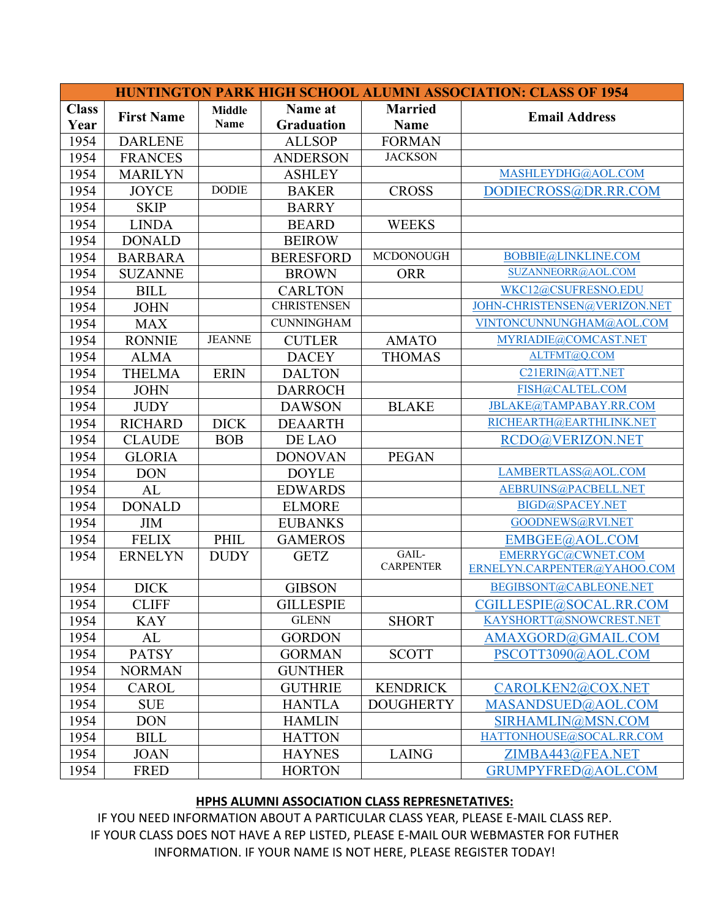| <b>HUNTINGTON PARK HIGH SCHOOL ALUMNI ASSOCIATION: CLASS OF 1954</b> |                   |               |                    |                  |                              |  |  |
|----------------------------------------------------------------------|-------------------|---------------|--------------------|------------------|------------------------------|--|--|
| <b>Class</b>                                                         | <b>First Name</b> | <b>Middle</b> | Name at            | <b>Married</b>   | <b>Email Address</b>         |  |  |
| Year                                                                 |                   | Name          | <b>Graduation</b>  | <b>Name</b>      |                              |  |  |
| 1954                                                                 | <b>DARLENE</b>    |               | <b>ALLSOP</b>      | <b>FORMAN</b>    |                              |  |  |
| 1954                                                                 | <b>FRANCES</b>    |               | <b>ANDERSON</b>    | <b>JACKSON</b>   |                              |  |  |
| 1954                                                                 | <b>MARILYN</b>    |               | <b>ASHLEY</b>      |                  | MASHLEYDHG@AOL.COM           |  |  |
| 1954                                                                 | <b>JOYCE</b>      | <b>DODIE</b>  | <b>BAKER</b>       | <b>CROSS</b>     | DODIECROSS@DR.RR.COM         |  |  |
| 1954                                                                 | <b>SKIP</b>       |               | <b>BARRY</b>       |                  |                              |  |  |
| 1954                                                                 | <b>LINDA</b>      |               | <b>BEARD</b>       | <b>WEEKS</b>     |                              |  |  |
| 1954                                                                 | <b>DONALD</b>     |               | <b>BEIROW</b>      |                  |                              |  |  |
| 1954                                                                 | <b>BARBARA</b>    |               | <b>BERESFORD</b>   | <b>MCDONOUGH</b> | BOBBIE@LINKLINE.COM          |  |  |
| 1954                                                                 | <b>SUZANNE</b>    |               | <b>BROWN</b>       | <b>ORR</b>       | SUZANNEORR@AOL.COM           |  |  |
| 1954                                                                 | <b>BILL</b>       |               | <b>CARLTON</b>     |                  | WKC12@CSUFRESNO.EDU          |  |  |
| 1954                                                                 | <b>JOHN</b>       |               | <b>CHRISTENSEN</b> |                  | JOHN-CHRISTENSEN@VERIZON.NET |  |  |
| 1954                                                                 | <b>MAX</b>        |               | <b>CUNNINGHAM</b>  |                  | VINTONCUNNUNGHAM@AOL.COM     |  |  |
| 1954                                                                 | <b>RONNIE</b>     | <b>JEANNE</b> | <b>CUTLER</b>      | <b>AMATO</b>     | MYRIADIE@COMCAST.NET         |  |  |
| 1954                                                                 | <b>ALMA</b>       |               | <b>DACEY</b>       | <b>THOMAS</b>    | ALTFMT@Q.COM                 |  |  |
| 1954                                                                 | <b>THELMA</b>     | <b>ERIN</b>   | <b>DALTON</b>      |                  | C21ERIN@ATT.NET              |  |  |
| 1954                                                                 | <b>JOHN</b>       |               | <b>DARROCH</b>     |                  | FISH@CALTEL.COM              |  |  |
| 1954                                                                 | <b>JUDY</b>       |               | <b>DAWSON</b>      | <b>BLAKE</b>     | JBLAKE@TAMPABAY.RR.COM       |  |  |
| 1954                                                                 | <b>RICHARD</b>    | <b>DICK</b>   | <b>DEAARTH</b>     |                  | RICHEARTH@EARTHLINK.NET      |  |  |
| 1954                                                                 | <b>CLAUDE</b>     | <b>BOB</b>    | DE LAO             |                  | RCDO@VERIZON.NET             |  |  |
| 1954                                                                 | <b>GLORIA</b>     |               | <b>DONOVAN</b>     | <b>PEGAN</b>     |                              |  |  |
| 1954                                                                 | <b>DON</b>        |               | <b>DOYLE</b>       |                  | LAMBERTLASS@AOL.COM          |  |  |
| 1954                                                                 | AL                |               | <b>EDWARDS</b>     |                  | AEBRUINS@PACBELL.NET         |  |  |
| 1954                                                                 | <b>DONALD</b>     |               | <b>ELMORE</b>      |                  | BIGD@SPACEY.NET              |  |  |
| 1954                                                                 | <b>JIM</b>        |               | <b>EUBANKS</b>     |                  | GOODNEWS@RVI.NET             |  |  |
| 1954                                                                 | <b>FELIX</b>      | PHIL          | <b>GAMEROS</b>     |                  | EMBGEE@AOL.COM               |  |  |
| 1954                                                                 | <b>ERNELYN</b>    | <b>DUDY</b>   | <b>GETZ</b>        | GAIL-            | EMERRYGC@CWNET.COM           |  |  |
|                                                                      |                   |               |                    | <b>CARPENTER</b> | ERNELYN.CARPENTER@YAHOO.COM  |  |  |
| 1954                                                                 | <b>DICK</b>       |               | <b>GIBSON</b>      |                  | BEGIBSONT@CABLEONE.NET       |  |  |
| 1954                                                                 | <b>CLIFF</b>      |               | <b>GILLESPIE</b>   |                  | CGILLESPIE@SOCAL.RR.COM      |  |  |
| 1954                                                                 | <b>KAY</b>        |               | <b>GLENN</b>       | <b>SHORT</b>     | KAYSHORTT@SNOWCREST.NET      |  |  |
| 1954                                                                 | AL                |               | <b>GORDON</b>      |                  | AMAXGORD@GMAIL.COM           |  |  |
| 1954                                                                 | <b>PATSY</b>      |               | <b>GORMAN</b>      | <b>SCOTT</b>     | PSCOTT3090@AOL.COM           |  |  |
| 1954                                                                 | <b>NORMAN</b>     |               | <b>GUNTHER</b>     |                  |                              |  |  |
| 1954                                                                 | <b>CAROL</b>      |               | <b>GUTHRIE</b>     | <b>KENDRICK</b>  | CAROLKEN2@COX.NET            |  |  |
| 1954                                                                 | <b>SUE</b>        |               | <b>HANTLA</b>      | <b>DOUGHERTY</b> | MASANDSUED@AOL.COM           |  |  |
| 1954                                                                 | <b>DON</b>        |               | <b>HAMLIN</b>      |                  | SIRHAMLIN@MSN.COM            |  |  |
| 1954                                                                 | <b>BILL</b>       |               | <b>HATTON</b>      |                  | HATTONHOUSE@SOCAL.RR.COM     |  |  |
| 1954                                                                 | <b>JOAN</b>       |               | <b>HAYNES</b>      | <b>LAING</b>     | ZIMBA443@FEA.NET             |  |  |
| 1954                                                                 | <b>FRED</b>       |               | <b>HORTON</b>      |                  | GRUMPYFRED@AOL.COM           |  |  |

## **HPHS ALUMNI ASSOCIATION CLASS REPRESNETATIVES:**

IF YOU NEED INFORMATION ABOUT A PARTICULAR CLASS YEAR, PLEASE E-MAIL CLASS REP. IF YOUR CLASS DOES NOT HAVE A REP LISTED, PLEASE E-MAIL OUR WEBMASTER FOR FUTHER INFORMATION. IF YOUR NAME IS NOT HERE, PLEASE REGISTER TODAY!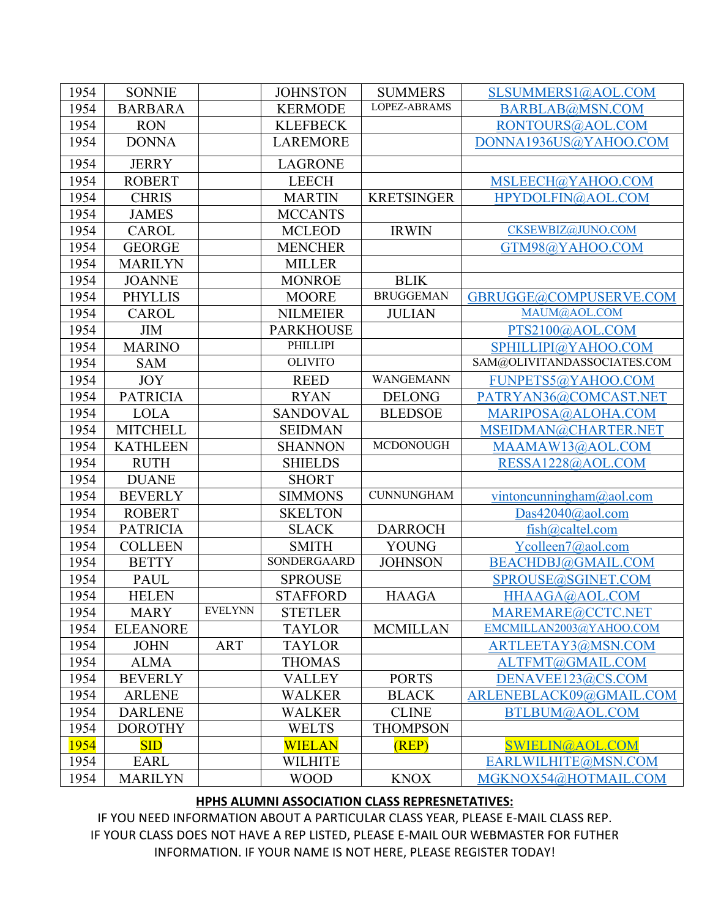| 1954 | <b>SONNIE</b>   |                | <b>JOHNSTON</b>  | <b>SUMMERS</b>    | SLSUMMERS1@AOL.COM          |
|------|-----------------|----------------|------------------|-------------------|-----------------------------|
| 1954 | <b>BARBARA</b>  |                | <b>KERMODE</b>   | LOPEZ-ABRAMS      | BARBLAB@MSN.COM             |
| 1954 | <b>RON</b>      |                | <b>KLEFBECK</b>  |                   | RONTOURS@AOL.COM            |
| 1954 | <b>DONNA</b>    |                | <b>LAREMORE</b>  |                   | DONNA1936US@YAHOO.COM       |
| 1954 | <b>JERRY</b>    |                | <b>LAGRONE</b>   |                   |                             |
| 1954 | <b>ROBERT</b>   |                | <b>LEECH</b>     |                   | MSLEECH@YAHOO.COM           |
| 1954 | <b>CHRIS</b>    |                | <b>MARTIN</b>    | <b>KRETSINGER</b> | HPYDOLFIN@AOL.COM           |
| 1954 | <b>JAMES</b>    |                | <b>MCCANTS</b>   |                   |                             |
| 1954 | <b>CAROL</b>    |                | <b>MCLEOD</b>    | <b>IRWIN</b>      | CKSEWBIZ@JUNO.COM           |
| 1954 | <b>GEORGE</b>   |                | <b>MENCHER</b>   |                   | GTM98@YAHOO.COM             |
| 1954 | <b>MARILYN</b>  |                | <b>MILLER</b>    |                   |                             |
| 1954 | <b>JOANNE</b>   |                | <b>MONROE</b>    | <b>BLIK</b>       |                             |
| 1954 | <b>PHYLLIS</b>  |                | <b>MOORE</b>     | <b>BRUGGEMAN</b>  | GBRUGGE@COMPUSERVE.COM      |
| 1954 | <b>CAROL</b>    |                | <b>NILMEIER</b>  | <b>JULIAN</b>     | MAUM@AOL.COM                |
| 1954 | <b>JIM</b>      |                | <b>PARKHOUSE</b> |                   | PTS2100@AOL.COM             |
| 1954 | <b>MARINO</b>   |                | PHILLIPI         |                   | SPHILLIPI@YAHOO.COM         |
| 1954 | <b>SAM</b>      |                | <b>OLIVITO</b>   |                   | SAM@OLIVITANDASSOCIATES.COM |
| 1954 | <b>JOY</b>      |                | <b>REED</b>      | <b>WANGEMANN</b>  | FUNPETS5@YAHOO.COM          |
| 1954 | <b>PATRICIA</b> |                | <b>RYAN</b>      | <b>DELONG</b>     | PATRYAN36@COMCAST.NET       |
| 1954 | <b>LOLA</b>     |                | <b>SANDOVAL</b>  | <b>BLEDSOE</b>    | MARIPOSA@ALOHA.COM          |
| 1954 | <b>MITCHELL</b> |                | <b>SEIDMAN</b>   |                   | MSEIDMAN@CHARTER.NET        |
| 1954 | <b>KATHLEEN</b> |                | <b>SHANNON</b>   | <b>MCDONOUGH</b>  | MAAMAW13@AOL.COM            |
| 1954 | <b>RUTH</b>     |                | <b>SHIELDS</b>   |                   | RESSA1228@AOL.COM           |
| 1954 | <b>DUANE</b>    |                | <b>SHORT</b>     |                   |                             |
| 1954 | <b>BEVERLY</b>  |                | <b>SIMMONS</b>   | <b>CUNNUNGHAM</b> | vintoncunningham@aol.com    |
| 1954 | <b>ROBERT</b>   |                | <b>SKELTON</b>   |                   | Das $42040@$ aol.com        |
| 1954 | <b>PATRICIA</b> |                | <b>SLACK</b>     | <b>DARROCH</b>    | fish@caltel.com             |
| 1954 | <b>COLLEEN</b>  |                | <b>SMITH</b>     | <b>YOUNG</b>      | Ycolleen7@aol.com           |
| 1954 | <b>BETTY</b>    |                | SONDERGAARD      | <b>JOHNSON</b>    | BEACHDBJ@GMAIL.COM          |
| 1954 | <b>PAUL</b>     |                | <b>SPROUSE</b>   |                   | SPROUSE@SGINET.COM          |
| 1954 | <b>HELEN</b>    |                | <b>STAFFORD</b>  | <b>HAAGA</b>      | HHAAGA@AOL.COM              |
| 1954 | <b>MARY</b>     | <b>EVELYNN</b> | <b>STETLER</b>   |                   | MAREMARE@CCTC.NET           |
| 1954 | <b>ELEANORE</b> |                | <b>TAYLOR</b>    | <b>MCMILLAN</b>   | EMCMILLAN2003@YAHOO.COM     |
| 1954 | <b>JOHN</b>     | <b>ART</b>     | <b>TAYLOR</b>    |                   | ARTLEETAY3@MSN.COM          |
| 1954 | <b>ALMA</b>     |                | <b>THOMAS</b>    |                   | ALTFMT@GMAIL.COM            |
| 1954 | <b>BEVERLY</b>  |                | <b>VALLEY</b>    | <b>PORTS</b>      | DENAVEE123@CS.COM           |
| 1954 | <b>ARLENE</b>   |                | <b>WALKER</b>    | <b>BLACK</b>      | ARLENEBLACK09@GMAIL.COM     |
| 1954 | <b>DARLENE</b>  |                | <b>WALKER</b>    | <b>CLINE</b>      | BTLBUM@AOL.COM              |
| 1954 | <b>DOROTHY</b>  |                | <b>WELTS</b>     | <b>THOMPSON</b>   |                             |
| 1954 | SID             |                | <b>WIELAN</b>    | (REP)             | SWIELIN@AOL.COM             |
| 1954 | <b>EARL</b>     |                | <b>WILHITE</b>   |                   | EARLWILHITE@MSN.COM         |
| 1954 | <b>MARILYN</b>  |                | <b>WOOD</b>      | <b>KNOX</b>       | MGKNOX54@HOTMAIL.COM        |

## **HPHS ALUMNI ASSOCIATION CLASS REPRESNETATIVES:**

IF YOU NEED INFORMATION ABOUT A PARTICULAR CLASS YEAR, PLEASE E-MAIL CLASS REP. IF YOUR CLASS DOES NOT HAVE A REP LISTED, PLEASE E-MAIL OUR WEBMASTER FOR FUTHER INFORMATION. IF YOUR NAME IS NOT HERE, PLEASE REGISTER TODAY!